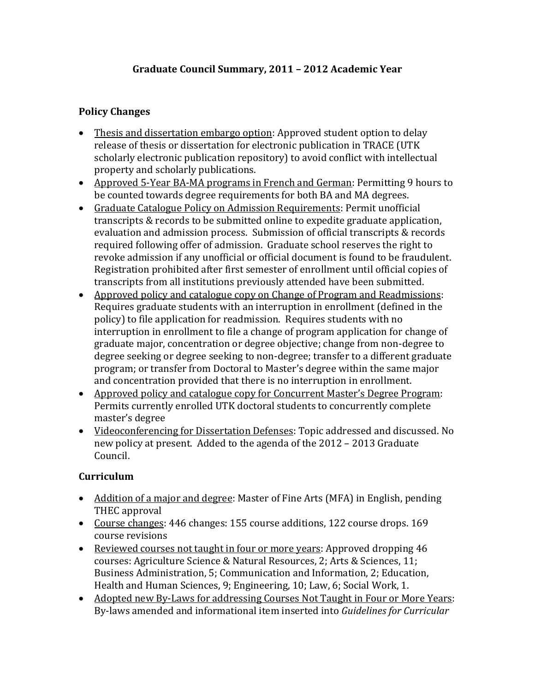## **Graduate Council Summary, 2011 – 2012 Academic Year**

## **Policy Changes**

- Thesis and dissertation embargo option: Approved student option to delay release of thesis or dissertation for electronic publication in TRACE (UTK scholarly electronic publication repository) to avoid conflict with intellectual property and scholarly publications.
- Approved 5-Year BA-MA programs in French and German: Permitting 9 hours to be counted towards degree requirements for both BA and MA degrees.
- Graduate Catalogue Policy on Admission Requirements: Permit unofficial transcripts & records to be submitted online to expedite graduate application, evaluation and admission process. Submission of official transcripts & records required following offer of admission. Graduate school reserves the right to revoke admission if any unofficial or official document is found to be fraudulent. Registration prohibited after first semester of enrollment until official copies of transcripts from all institutions previously attended have been submitted.
- Approved policy and catalogue copy on Change of Program and Readmissions: Requires graduate students with an interruption in enrollment (defined in the policy) to file application for readmission. Requires students with no interruption in enrollment to file a change of program application for change of graduate major, concentration or degree objective; change from non-degree to degree seeking or degree seeking to non-degree; transfer to a different graduate program; or transfer from Doctoral to Master's degree within the same major and concentration provided that there is no interruption in enrollment.
- Approved policy and catalogue copy for Concurrent Master's Degree Program: Permits currently enrolled UTK doctoral students to concurrently complete master's degree
- Videoconferencing for Dissertation Defenses: Topic addressed and discussed. No new policy at present. Added to the agenda of the 2012 – 2013 Graduate Council.

## **Curriculum**

- Addition of a major and degree: Master of Fine Arts (MFA) in English, pending THEC approval
- Course changes: 446 changes: 155 course additions, 122 course drops. 169 course revisions
- Reviewed courses not taught in four or more years: Approved dropping 46 courses: Agriculture Science & Natural Resources, 2; Arts & Sciences, 11; Business Administration, 5; Communication and Information, 2; Education, Health and Human Sciences, 9; Engineering, 10; Law, 6; Social Work, 1.
- Adopted new By-Laws for addressing Courses Not Taught in Four or More Years: By-laws amended and informational item inserted into *Guidelines for Curricular*